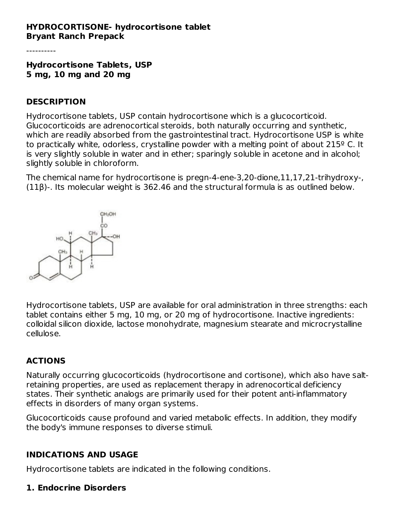#### **HYDROCORTISONE- hydrocortisone tablet Bryant Ranch Prepack**

----------

**Hydrocortisone Tablets, USP 5 mg, 10 mg and 20 mg**

#### **DESCRIPTION**

Hydrocortisone tablets, USP contain hydrocortisone which is a glucocorticoid. Glucocorticoids are adrenocortical steroids, both naturally occurring and synthetic, which are readily absorbed from the gastrointestinal tract. Hydrocortisone USP is white to practically white, odorless, crystalline powder with a melting point of about 215º C. It is very slightly soluble in water and in ether; sparingly soluble in acetone and in alcohol; slightly soluble in chloroform.

The chemical name for hydrocortisone is pregn-4-ene-3,20-dione,11,17,21-trihydroxy-, (11β)-. Its molecular weight is 362.46 and the structural formula is as outlined below.



Hydrocortisone tablets, USP are available for oral administration in three strengths: each tablet contains either 5 mg, 10 mg, or 20 mg of hydrocortisone. Inactive ingredients: colloidal silicon dioxide, lactose monohydrate, magnesium stearate and microcrystalline cellulose.

#### **ACTIONS**

Naturally occurring glucocorticoids (hydrocortisone and cortisone), which also have saltretaining properties, are used as replacement therapy in adrenocortical deficiency states. Their synthetic analogs are primarily used for their potent anti-inflammatory effects in disorders of many organ systems.

Glucocorticoids cause profound and varied metabolic effects. In addition, they modify the body's immune responses to diverse stimuli.

#### **INDICATIONS AND USAGE**

Hydrocortisone tablets are indicated in the following conditions.

#### **1. Endocrine Disorders**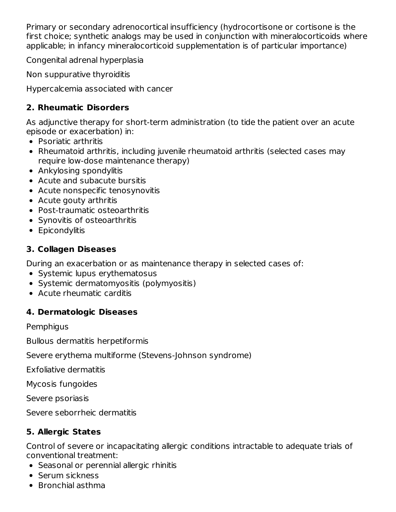Primary or secondary adrenocortical insufficiency (hydrocortisone or cortisone is the first choice; synthetic analogs may be used in conjunction with mineralocorticoids where applicable; in infancy mineralocorticoid supplementation is of particular importance)

Congenital adrenal hyperplasia

Non suppurative thyroiditis

Hypercalcemia associated with cancer

# **2. Rheumatic Disorders**

As adjunctive therapy for short-term administration (to tide the patient over an acute episode or exacerbation) in:

- Psoriatic arthritis
- Rheumatoid arthritis, including juvenile rheumatoid arthritis (selected cases may require low-dose maintenance therapy)
- Ankylosing spondylitis
- Acute and subacute bursitis
- Acute nonspecific tenosynovitis
- Acute gouty arthritis
- Post-traumatic osteoarthritis
- Synovitis of osteoarthritis
- Epicondylitis

# **3. Collagen Diseases**

During an exacerbation or as maintenance therapy in selected cases of:

- Systemic lupus erythematosus
- Systemic dermatomyositis (polymyositis)
- Acute rheumatic carditis

# **4. Dermatologic Diseases**

Pemphigus

Bullous dermatitis herpetiformis

Severe erythema multiforme (Stevens-Johnson syndrome)

Exfoliative dermatitis

Mycosis fungoides

Severe psoriasis

Severe seborrheic dermatitis

# **5. Allergic States**

Control of severe or incapacitating allergic conditions intractable to adequate trials of conventional treatment:

- Seasonal or perennial allergic rhinitis
- Serum sickness
- Bronchial asthma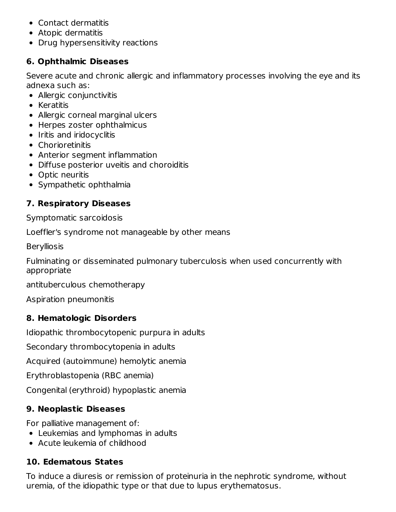- Contact dermatitis
- Atopic dermatitis
- Drug hypersensitivity reactions

### **6. Ophthalmic Diseases**

Severe acute and chronic allergic and inflammatory processes involving the eye and its adnexa such as:

- Allergic conjunctivitis
- Keratitis
- Allergic corneal marginal ulcers
- Herpes zoster ophthalmicus
- Iritis and iridocyclitis
- Chorioretinitis
- Anterior seament inflammation
- Diffuse posterior uveitis and choroiditis
- Optic neuritis
- Sympathetic ophthalmia

# **7. Respiratory Diseases**

Symptomatic sarcoidosis

Loeffler's syndrome not manageable by other means

**Berylliosis** 

Fulminating or disseminated pulmonary tuberculosis when used concurrently with appropriate

antituberculous chemotherapy

Aspiration pneumonitis

# **8. Hematologic Disorders**

Idiopathic thrombocytopenic purpura in adults

Secondary thrombocytopenia in adults

Acquired (autoimmune) hemolytic anemia

Erythroblastopenia (RBC anemia)

Congenital (erythroid) hypoplastic anemia

# **9. Neoplastic Diseases**

For palliative management of:

- Leukemias and lymphomas in adults
- Acute leukemia of childhood

# **10. Edematous States**

To induce a diuresis or remission of proteinuria in the nephrotic syndrome, without uremia, of the idiopathic type or that due to lupus erythematosus.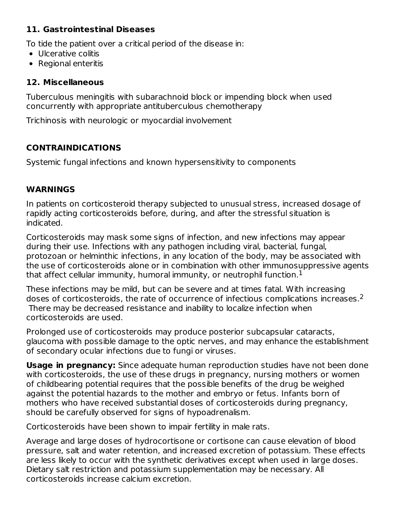### **11. Gastrointestinal Diseases**

To tide the patient over a critical period of the disease in:

- Ulcerative colitis
- Regional enteritis

### **12. Miscellaneous**

Tuberculous meningitis with subarachnoid block or impending block when used concurrently with appropriate antituberculous chemotherapy

Trichinosis with neurologic or myocardial involvement

# **CONTRAINDICATIONS**

Systemic fungal infections and known hypersensitivity to components

### **WARNINGS**

In patients on corticosteroid therapy subjected to unusual stress, increased dosage of rapidly acting corticosteroids before, during, and after the stressful situation is indicated.

Corticosteroids may mask some signs of infection, and new infections may appear during their use. Infections with any pathogen including viral, bacterial, fungal, protozoan or helminthic infections, in any location of the body, may be associated with the use of corticosteroids alone or in combination with other immunosuppressive agents that affect cellular immunity, humoral immunity, or neutrophil function. $^{\rm 1}$ 

These infections may be mild, but can be severe and at times fatal. With increasing doses of corticosteroids, the rate of occurrence of infectious complications increases. 2There may be decreased resistance and inability to localize infection when corticosteroids are used.

Prolonged use of corticosteroids may produce posterior subcapsular cataracts, glaucoma with possible damage to the optic nerves, and may enhance the establishment of secondary ocular infections due to fungi or viruses.

**Usage in pregnancy:** Since adequate human reproduction studies have not been done with corticosteroids, the use of these drugs in pregnancy, nursing mothers or women of childbearing potential requires that the possible benefits of the drug be weighed against the potential hazards to the mother and embryo or fetus. Infants born of mothers who have received substantial doses of corticosteroids during pregnancy, should be carefully observed for signs of hypoadrenalism.

Corticosteroids have been shown to impair fertility in male rats.

Average and large doses of hydrocortisone or cortisone can cause elevation of blood pressure, salt and water retention, and increased excretion of potassium. These effects are less likely to occur with the synthetic derivatives except when used in large doses. Dietary salt restriction and potassium supplementation may be necessary. All corticosteroids increase calcium excretion.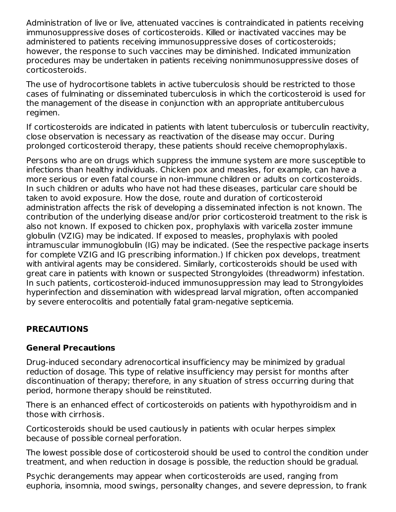Administration of live or live, attenuated vaccines is contraindicated in patients receiving immunosuppressive doses of corticosteroids. Killed or inactivated vaccines may be administered to patients receiving immunosuppressive doses of corticosteroids; however, the response to such vaccines may be diminished. Indicated immunization procedures may be undertaken in patients receiving nonimmunosuppressive doses of corticosteroids.

The use of hydrocortisone tablets in active tuberculosis should be restricted to those cases of fulminating or disseminated tuberculosis in which the corticosteroid is used for the management of the disease in conjunction with an appropriate antituberculous regimen.

If corticosteroids are indicated in patients with latent tuberculosis or tuberculin reactivity, close observation is necessary as reactivation of the disease may occur. During prolonged corticosteroid therapy, these patients should receive chemoprophylaxis.

Persons who are on drugs which suppress the immune system are more susceptible to infections than healthy individuals. Chicken pox and measles, for example, can have a more serious or even fatal course in non-immune children or adults on corticosteroids. In such children or adults who have not had these diseases, particular care should be taken to avoid exposure. How the dose, route and duration of corticosteroid administration affects the risk of developing a disseminated infection is not known. The contribution of the underlying disease and/or prior corticosteroid treatment to the risk is also not known. If exposed to chicken pox, prophylaxis with varicella zoster immune globulin (VZIG) may be indicated. If exposed to measles, prophylaxis with pooled intramuscular immunoglobulin (IG) may be indicated. (See the respective package inserts for complete VZIG and IG prescribing information.) If chicken pox develops, treatment with antiviral agents may be considered. Similarly, corticosteroids should be used with great care in patients with known or suspected Strongyloides (threadworm) infestation. In such patients, corticosteroid-induced immunosuppression may lead to Strongyloides hyperinfection and dissemination with widespread larval migration, often accompanied by severe enterocolitis and potentially fatal gram-negative septicemia.

#### **PRECAUTIONS**

#### **General Precautions**

Drug-induced secondary adrenocortical insufficiency may be minimized by gradual reduction of dosage. This type of relative insufficiency may persist for months after discontinuation of therapy; therefore, in any situation of stress occurring during that period, hormone therapy should be reinstituted.

There is an enhanced effect of corticosteroids on patients with hypothyroidism and in those with cirrhosis.

Corticosteroids should be used cautiously in patients with ocular herpes simplex because of possible corneal perforation.

The lowest possible dose of corticosteroid should be used to control the condition under treatment, and when reduction in dosage is possible, the reduction should be gradual.

Psychic derangements may appear when corticosteroids are used, ranging from euphoria, insomnia, mood swings, personality changes, and severe depression, to frank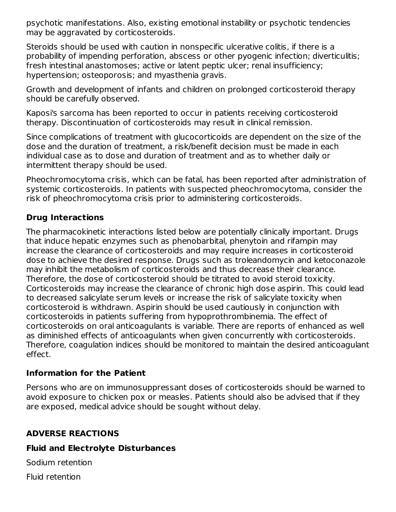psychotic manifestations. Also, existing emotional instability or psychotic tendencies may be aggravated by corticosteroids.

Steroids should be used with caution in nonspecific ulcerative colitis, if there is a probability of impending perforation, abscess or other pyogenic infection; diverticulitis; fresh intestinal anastomoses; active or latent peptic ulcer; renal insufficiency; hypertension; osteoporosis; and myasthenia gravis.

Growth and development of infants and children on prolonged corticosteroid therapy should be carefully observed.

Kaposi's sarcoma has been reported to occur in patients receiving corticosteroid therapy. Discontinuation of corticosteroids may result in clinical remission.

Since complications of treatment with glucocorticoids are dependent on the size of the dose and the duration of treatment, a risk/benefit decision must be made in each individual case as to dose and duration of treatment and as to whether daily or intermittent therapy should be used.

Pheochromocytoma crisis, which can be fatal, has been reported after administration of systemic corticosteroids. In patients with suspected pheochromocytoma, consider the risk of pheochromocytoma crisis prior to administering corticosteroids.

### **Drug Interactions**

The pharmacokinetic interactions listed below are potentially clinically important. Drugs that induce hepatic enzymes such as phenobarbital, phenytoin and rifampin may increase the clearance of corticosteroids and may require increases in corticosteroid dose to achieve the desired response. Drugs such as troleandomycin and ketoconazole may inhibit the metabolism of corticosteroids and thus decrease their clearance. Therefore, the dose of corticosteroid should be titrated to avoid steroid toxicity. Corticosteroids may increase the clearance of chronic high dose aspirin. This could lead to decreased salicylate serum levels or increase the risk of salicylate toxicity when corticosteroid is withdrawn. Aspirin should be used cautiously in conjunction with corticosteroids in patients suffering from hypoprothrombinemia. The effect of corticosteroids on oral anticoagulants is variable. There are reports of enhanced as well as diminished effects of anticoagulants when given concurrently with corticosteroids. Therefore, coagulation indices should be monitored to maintain the desired anticoagulant effect.

#### **Information for the Patient**

Persons who are on immunosuppressant doses of corticosteroids should be warned to avoid exposure to chicken pox or measles. Patients should also be advised that if they are exposed, medical advice should be sought without delay.

### **ADVERSE REACTIONS**

#### **Fluid and Electrolyte Disturbances**

Sodium retention Fluid retention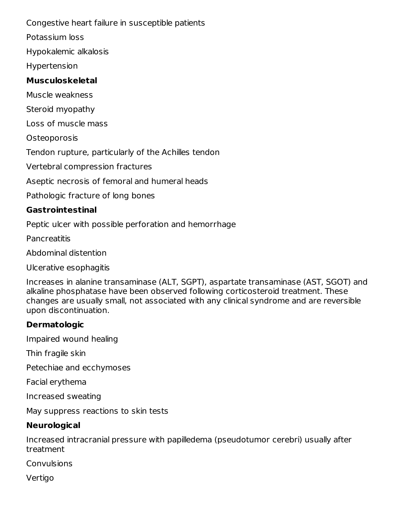Congestive heart failure in susceptible patients

Potassium loss

Hypokalemic alkalosis

Hypertension

### **Musculoskeletal**

Muscle weakness

Steroid myopathy

Loss of muscle mass

**Osteoporosis** 

Tendon rupture, particularly of the Achilles tendon

Vertebral compression fractures

Aseptic necrosis of femoral and humeral heads

Pathologic fracture of long bones

# **Gastrointestinal**

Peptic ulcer with possible perforation and hemorrhage

**Pancreatitis** 

Abdominal distention

Ulcerative esophagitis

Increases in alanine transaminase (ALT, SGPT), aspartate transaminase (AST, SGOT) and alkaline phosphatase have been observed following corticosteroid treatment. These changes are usually small, not associated with any clinical syndrome and are reversible upon discontinuation.

# **Dermatologic**

Impaired wound healing

Thin fragile skin

Petechiae and ecchymoses

Facial erythema

Increased sweating

May suppress reactions to skin tests

# **Neurological**

Increased intracranial pressure with papilledema (pseudotumor cerebri) usually after treatment

**Convulsions** 

Vertigo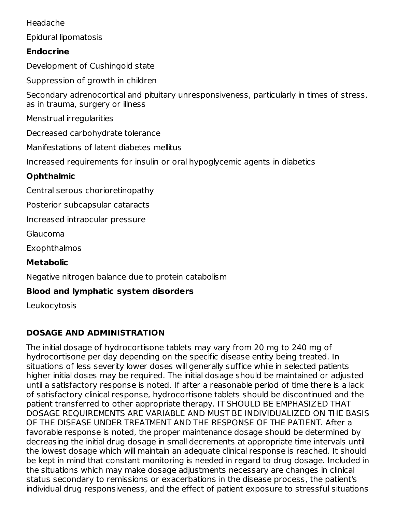Headache

Epidural lipomatosis

### **Endocrine**

Development of Cushingoid state

Suppression of growth in children

Secondary adrenocortical and pituitary unresponsiveness, particularly in times of stress, as in trauma, surgery or illness

Menstrual irregularities

Decreased carbohydrate tolerance

Manifestations of latent diabetes mellitus

Increased requirements for insulin or oral hypoglycemic agents in diabetics

# **Ophthalmic**

Central serous chorioretinopathy

Posterior subcapsular cataracts

Increased intraocular pressure

Glaucoma

Exophthalmos

# **Metabolic**

Negative nitrogen balance due to protein catabolism

# **Blood and lymphatic system disorders**

Leukocytosis

# **DOSAGE AND ADMINISTRATION**

The initial dosage of hydrocortisone tablets may vary from 20 mg to 240 mg of hydrocortisone per day depending on the specific disease entity being treated. In situations of less severity lower doses will generally suffice while in selected patients higher initial doses may be required. The initial dosage should be maintained or adjusted until a satisfactory response is noted. If after a reasonable period of time there is a lack of satisfactory clinical response, hydrocortisone tablets should be discontinued and the patient transferred to other appropriate therapy. IT SHOULD BE EMPHASIZED THAT DOSAGE REQUIREMENTS ARE VARIABLE AND MUST BE INDIVIDUALIZED ON THE BASIS OF THE DISEASE UNDER TREATMENT AND THE RESPONSE OF THE PATIENT. After a favorable response is noted, the proper maintenance dosage should be determined by decreasing the initial drug dosage in small decrements at appropriate time intervals until the lowest dosage which will maintain an adequate clinical response is reached. It should be kept in mind that constant monitoring is needed in regard to drug dosage. Included in the situations which may make dosage adjustments necessary are changes in clinical status secondary to remissions or exacerbations in the disease process, the patient's individual drug responsiveness, and the effect of patient exposure to stressful situations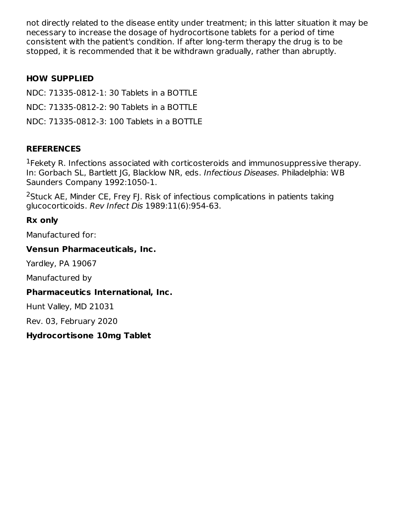not directly related to the disease entity under treatment; in this latter situation it may be necessary to increase the dosage of hydrocortisone tablets for a period of time consistent with the patient's condition. If after long-term therapy the drug is to be stopped, it is recommended that it be withdrawn gradually, rather than abruptly.

### **HOW SUPPLIED**

NDC: 71335-0812-1: 30 Tablets in a BOTTLE NDC: 71335-0812-2: 90 Tablets in a BOTTLE NDC: 71335-0812-3: 100 Tablets in a BOTTLE

#### **REFERENCES**

<sup>1</sup> Fekety R. Infections associated with corticosteroids and immunosuppressive therapy. In: Gorbach SL, Bartlett JG, Blacklow NR, eds. Infectious Diseases. Philadelphia: WB Saunders Company 1992:1050-1.

<sup>2</sup>Stuck AE, Minder CE, Frey FJ. Risk of infectious complications in patients taking glucocorticoids. Rev Infect Dis 1989:11(6):954-63.

#### **Rx only**

Manufactured for:

#### **Vensun Pharmaceuticals, Inc.**

Yardley, PA 19067

Manufactured by

#### **Pharmaceutics International, Inc.**

Hunt Valley, MD 21031

Rev. 03, February 2020

#### **Hydrocortisone 10mg Tablet**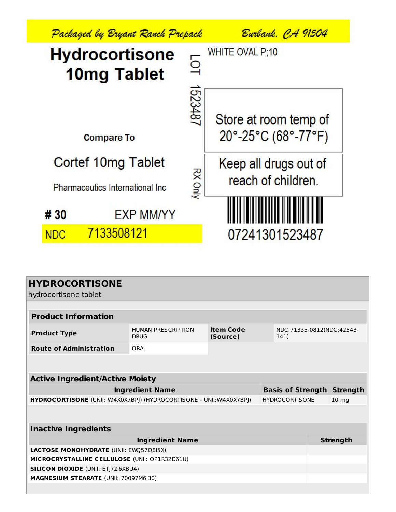